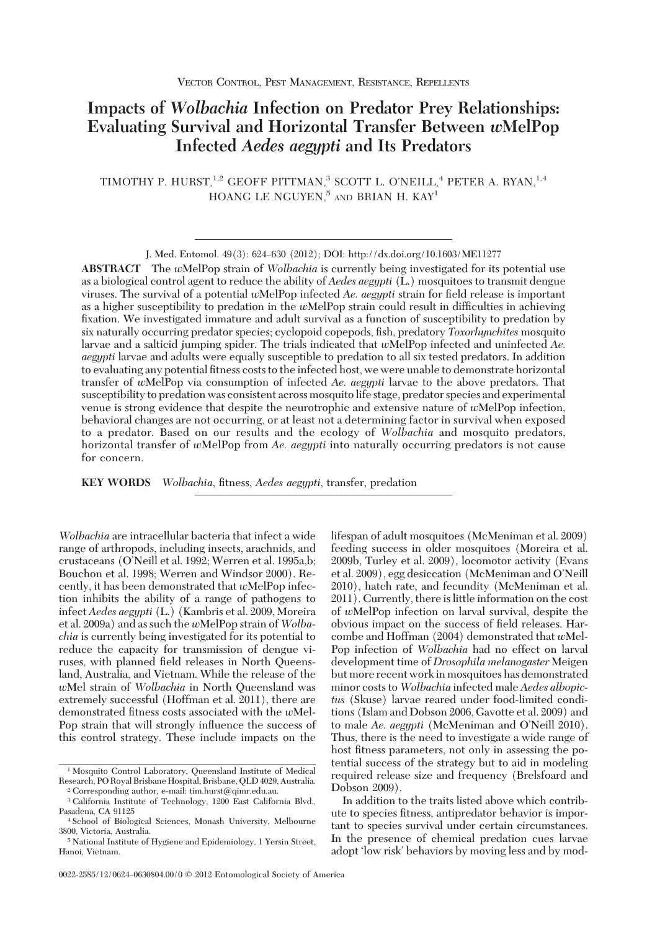# **Impacts of** *Wolbachia* **Infection on Predator Prey Relationships: Evaluating Survival and Horizontal Transfer Between** *w***MelPop Infected** *Aedes aegypti* **and Its Predators**

TIMOTHY P. HURST,<sup>1,2</sup> GEOFF PITTMAN,<sup>3</sup> SCOTT L. O'NEILL,<sup>4</sup> PETER A. RYAN,<sup>1,4</sup> HOANG LE NGUYEN.<sup>5</sup> AND BRIAN H. KAY<sup>1</sup>

**ABSTRACT** The *w*MelPop strain of *Wolbachia* is currently being investigated for its potential use as a biological control agent to reduce the ability of *Aedes aegypti* (L.) mosquitoes to transmit dengue viruses. The survival of a potential *w*MelPop infected *Ae. aegypti* strain for field release is important as a higher susceptibility to predation in the *w*MelPop strain could result in difficulties in achieving fixation. We investigated immature and adult survival as a function of susceptibility to predation by six naturally occurring predator species; cyclopoid copepods, fish, predatory *Toxorhynchites* mosquito larvae and a salticid jumping spider. The trials indicated that *w*MelPop infected and uninfected *Ae. aegypti* larvae and adults were equally susceptible to predation to all six tested predators. In addition to evaluating any potential fitness costs to the infected host, we were unable to demonstrate horizontal transfer of *w*MelPop via consumption of infected *Ae. aegypti* larvae to the above predators. That susceptibility to predation was consistent across mosquito life stage, predator species and experimental venue is strong evidence that despite the neurotrophic and extensive nature of *w*MelPop infection, behavioral changes are not occurring, or at least not a determining factor in survival when exposed to a predator. Based on our results and the ecology of *Wolbachia* and mosquito predators, horizontal transfer of *w*MelPop from *Ae. aegypti* into naturally occurring predators is not cause for concern.

**KEY WORDS** *Wolbachia*, fitness, *Aedes aegypti*, transfer, predation

*Wolbachia* are intracellular bacteria that infect a wide range of arthropods, including insects, arachnids, and crustaceans (O'Neill et al. 1992; Werren et al. 1995a,b; Bouchon et al. 1998; Werren and Windsor 2000). Recently, it has been demonstrated that *w*MelPop infection inhibits the ability of a range of pathogens to infect *Aedes aegypti* (L.) (Kambris et al. 2009, Moreira et al. 2009a) and as such the *w*MelPop strain of *Wolbachia* is currently being investigated for its potential to reduce the capacity for transmission of dengue viruses, with planned field releases in North Queensland, Australia, and Vietnam. While the release of the *w*Mel strain of *Wolbachia* in North Queensland was extremely successful (Hoffman et al. 2011), there are demonstrated fitness costs associated with the *w*Mel-Pop strain that will strongly inßuence the success of this control strategy. These include impacts on the

lifespan of adult mosquitoes (McMeniman et al. 2009) feeding success in older mosquitoes (Moreira et al. 2009b, Turley et al. 2009), locomotor activity (Evans et al. 2009), egg desiccation (McMeniman and O'Neill 2010), hatch rate, and fecundity (McMeniman et al. 2011). Currently, there is little information on the cost of *w*MelPop infection on larval survival, despite the obvious impact on the success of field releases. Harcombe and Hoffman (2004) demonstrated that *w*Mel-Pop infection of *Wolbachia* had no effect on larval development time of *Drosophila melanogaster* Meigen but more recent work in mosquitoes has demonstrated minor costs to *Wolbachia* infected male *Aedes albopictus* (Skuse) larvae reared under food-limited conditions (Islam and Dobson 2006, Gavotte et al. 2009) and to male *Ae. aegypti* (McMeniman and O'Neill 2010). Thus, there is the need to investigate a wide range of host fitness parameters, not only in assessing the potential success of the strategy but to aid in modeling required release size and frequency (Brelsfoard and Dobson 2009).

In addition to the traits listed above which contribute to species fitness, antipredator behavior is important to species survival under certain circumstances. In the presence of chemical predation cues larvae adopt 'low risk' behaviors by moving less and by mod-

J. Med. Entomol. 49(3): 624–630 (2012); DOI: http://dx.doi.org/10.1603/ME11277

<sup>&</sup>lt;sup>1</sup> Mosquito Control Laboratory, Queensland Institute of Medical Research, PO Royal Brisbane Hospital, Brisbane, QLD 4029, Australia. <sup>2</sup> Corresponding author, e-mail: tim.hurst@qimr.edu.au.

<sup>3</sup> California Institute of Technology, 1200 East California Blvd., Pasadena, CA 91125

<sup>4</sup> School of Biological Sciences, Monash University, Melbourne 3800, Victoria, Australia.

<sup>5</sup> National Institute of Hygiene and Epidemiology, 1 Yersin Street, Hanoi, Vietnam.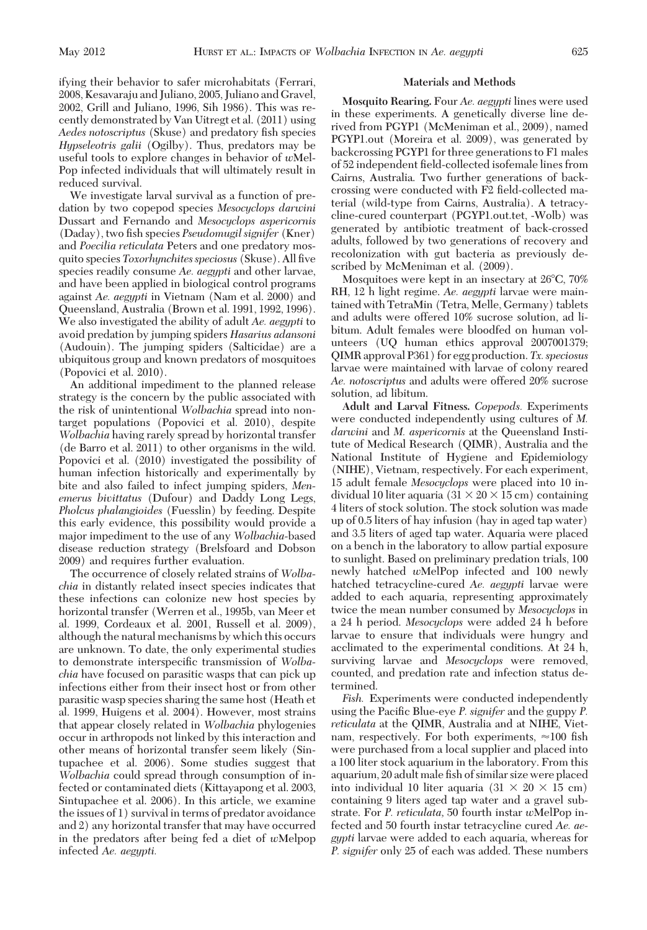ifying their behavior to safer microhabitats (Ferrari, 2008, Kesavaraju and Juliano, 2005, Juliano and Gravel, 2002, Grill and Juliano, 1996, Sih 1986). This was recently demonstrated by Van Uitregt et al. (2011) using *Aedes notoscriptus* (Skuse) and predatory fish species *Hypseleotris galii* (Ogilby). Thus, predators may be useful tools to explore changes in behavior of *w*Mel-Pop infected individuals that will ultimately result in reduced survival.

We investigate larval survival as a function of predation by two copepod species *Mesocyclops darwini* Dussart and Fernando and *Mesocyclops aspericornis* (Daday), two fish species *Pseudomugil signifer* (Kner) and *Poecilia reticulata* Peters and one predatory mosquito species *Toxorhynchites speciosus* (Skuse). All five species readily consume *Ae. aegypti* and other larvae, and have been applied in biological control programs against *Ae. aegypti* in Vietnam (Nam et al. 2000) and Queensland, Australia (Brown et al. 1991, 1992, 1996). We also investigated the ability of adult *Ae. aegypti* to avoid predation by jumping spiders *Hasarius adansoni* (Audouin). The jumping spiders (Salticidae) are a ubiquitous group and known predators of mosquitoes (Popovici et al. 2010).

An additional impediment to the planned release strategy is the concern by the public associated with the risk of unintentional *Wolbachia* spread into nontarget populations (Popovici et al. 2010), despite *Wolbachia* having rarely spread by horizontal transfer (de Barro et al. 2011) to other organisms in the wild. Popovici et al. (2010) investigated the possibility of human infection historically and experimentally by bite and also failed to infect jumping spiders, *Menemerus bivittatus* (Dufour) and Daddy Long Legs, *Pholcus phalangioides* (Fuesslin) by feeding. Despite this early evidence, this possibility would provide a major impediment to the use of any *Wolbachia-*based disease reduction strategy (Brelsfoard and Dobson 2009) and requires further evaluation.

The occurrence of closely related strains of *Wolbachia* in distantly related insect species indicates that these infections can colonize new host species by horizontal transfer (Werren et al., 1995b, van Meer et al. 1999, Cordeaux et al. 2001, Russell et al. 2009), although the natural mechanisms by which this occurs are unknown. To date, the only experimental studies to demonstrate interspecific transmission of *Wolbachia* have focused on parasitic wasps that can pick up infections either from their insect host or from other parasitic wasp species sharing the same host (Heath et al. 1999, Huigens et al. 2004). However, most strains that appear closely related in *Wolbachia* phylogenies occur in arthropods not linked by this interaction and other means of horizontal transfer seem likely (Sintupachee et al. 2006). Some studies suggest that *Wolbachia* could spread through consumption of infected or contaminated diets (Kittayapong et al. 2003, Sintupachee et al. 2006). In this article, we examine the issues of 1) survival in terms of predator avoidance and 2) any horizontal transfer that may have occurred in the predators after being fed a diet of *w*Melpop infected *Ae. aegypti.*

#### **Materials and Methods**

**Mosquito Rearing.** Four *Ae. aegypti* lines were used in these experiments. A genetically diverse line derived from PGYP1 (McMeniman et al., 2009), named PGYP1.out (Moreira et al. 2009), was generated by backcrossing PGYP1 for three generations to F1 males of 52 independent field-collected isofemale lines from Cairns, Australia. Two further generations of backcrossing were conducted with F2 field-collected material (wild-type from Cairns, Australia). A tetracycline-cured counterpart (PGYP1.out.tet, -Wolb) was generated by antibiotic treatment of back-crossed adults, followed by two generations of recovery and recolonization with gut bacteria as previously described by McMeniman et al. (2009).

Mosquitoes were kept in an insectary at 26°C, 70% RH, 12 h light regime. *Ae. aegypti* larvae were maintained with TetraMin (Tetra, Melle, Germany) tablets and adults were offered 10% sucrose solution, ad libitum. Adult females were bloodfed on human volunteers (UQ human ethics approval 2007001379; QIMR approval P361) for egg production.*Tx. speciosus* larvae were maintained with larvae of colony reared *Ae. notoscriptus* and adults were offered 20% sucrose solution, ad libitum.

**Adult and Larval Fitness.** *Copepods.* Experiments were conducted independently using cultures of *M. darwini* and *M. aspericornis* at the Queensland Institute of Medical Research (QIMR), Australia and the National Institute of Hygiene and Epidemiology (NIHE), Vietnam, respectively. For each experiment, 15 adult female *Mesocyclops* were placed into 10 individual 10 liter aquaria  $(31 \times 20 \times 15 \text{ cm})$  containing 4 liters of stock solution. The stock solution was made up of 0.5 liters of hay infusion (hay in aged tap water) and 3.5 liters of aged tap water. Aquaria were placed on a bench in the laboratory to allow partial exposure to sunlight. Based on preliminary predation trials, 100 newly hatched *w*MelPop infected and 100 newly hatched tetracycline-cured *Ae. aegypti* larvae were added to each aquaria, representing approximately twice the mean number consumed by *Mesocyclops* in a 24 h period. *Mesocyclops* were added 24 h before larvae to ensure that individuals were hungry and acclimated to the experimental conditions. At 24 h, surviving larvae and *Mesocyclops* were removed, counted, and predation rate and infection status determined.

*Fish.* Experiments were conducted independently using the Pacific Blue-eye *P. signifer* and the guppy *P. reticulata* at the QIMR, Australia and at NIHE, Vietnam, respectively. For both experiments,  $\approx 100$  fish were purchased from a local supplier and placed into a 100 liter stock aquarium in the laboratory. From this aquarium, 20 adult male fish of similar size were placed into individual 10 liter aquaria  $(31 \times 20 \times 15 \text{ cm})$ containing 9 liters aged tap water and a gravel substrate. For *P. reticulata,* 50 fourth instar *w*MelPop infected and 50 fourth instar tetracycline cured *Ae. aegypti* larvae were added to each aquaria, whereas for *P. signifer* only 25 of each was added. These numbers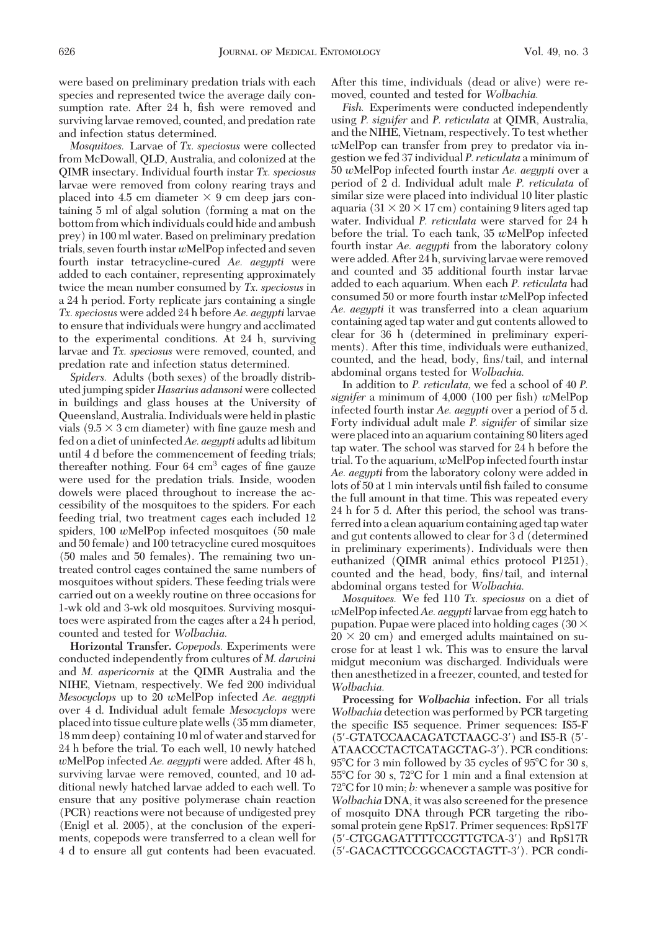were based on preliminary predation trials with each species and represented twice the average daily consumption rate. After 24 h, fish were removed and surviving larvae removed, counted, and predation rate and infection status determined.

*Mosquitoes.* Larvae of *Tx. speciosus* were collected from McDowall, QLD, Australia, and colonized at the QIMR insectary. Individual fourth instar *Tx. speciosus* larvae were removed from colony rearing trays and placed into 4.5 cm diameter  $\times$  9 cm deep jars containing 5 ml of algal solution (forming a mat on the bottom from which individuals could hide and ambush prey) in 100 ml water. Based on preliminary predation trials, seven fourth instar *w*MelPop infected and seven fourth instar tetracycline-cured *Ae. aegypti* were added to each container, representing approximately twice the mean number consumed by *Tx. speciosus* in a 24 h period. Forty replicate jars containing a single *Tx. speciosus* were added 24 h before *Ae. aegypti* larvae to ensure that individuals were hungry and acclimated to the experimental conditions. At 24 h, surviving larvae and *Tx. speciosus* were removed, counted, and predation rate and infection status determined.

*Spiders.* Adults (both sexes) of the broadly distributed jumping spider *Hasarius adansoni* were collected in buildings and glass houses at the University of Queensland, Australia. Individuals were held in plastic vials  $(9.5 \times 3 \text{ cm diameter})$  with fine gauze mesh and fed on a diet of uninfected*Ae. aegypti* adults ad libitum until 4 d before the commencement of feeding trials; thereafter nothing. Four  $64 \text{ cm}^3$  cages of fine gauze were used for the predation trials. Inside, wooden dowels were placed throughout to increase the accessibility of the mosquitoes to the spiders. For each feeding trial, two treatment cages each included 12 spiders, 100 *w*MelPop infected mosquitoes (50 male and 50 female) and 100 tetracycline cured mosquitoes (50 males and 50 females). The remaining two untreated control cages contained the same numbers of mosquitoes without spiders. These feeding trials were carried out on a weekly routine on three occasions for 1-wk old and 3-wk old mosquitoes. Surviving mosquitoes were aspirated from the cages after a 24 h period, counted and tested for *Wolbachia.*

**Horizontal Transfer.** *Copepods.* Experiments were conducted independently from cultures of *M. darwini* and *M. aspericornis* at the QIMR Australia and the NIHE, Vietnam, respectively. We fed 200 individual *Mesocyclops* up to 20 *w*MelPop infected *Ae. aegypti* over 4 d. Individual adult female *Mesocyclops* were placed into tissue culture plate wells (35 mm diameter, 18 mm deep) containing 10 ml of water and starved for 24 h before the trial. To each well, 10 newly hatched *w*MelPop infected *Ae. aegypti* were added. After 48 h, surviving larvae were removed, counted, and 10 additional newly hatched larvae added to each well. To ensure that any positive polymerase chain reaction (PCR) reactions were not because of undigested prey (Enigl et al. 2005), at the conclusion of the experiments, copepods were transferred to a clean well for 4 d to ensure all gut contents had been evacuated. After this time, individuals (dead or alive) were removed, counted and tested for *Wolbachia.*

*Fish.* Experiments were conducted independently using *P. signifer* and *P. reticulata* at QIMR, Australia, and the NIHE, Vietnam, respectively. To test whether *w*MelPop can transfer from prey to predator via ingestion we fed 37 individual *P. reticulata* a minimum of 50 *w*MelPop infected fourth instar *Ae. aegypti* over a period of 2 d. Individual adult male *P. reticulata* of similar size were placed into individual 10 liter plastic aquaria ( $31 \times 20 \times 17$  cm) containing 9 liters aged tap water. Individual *P. reticulata* were starved for 24 h before the trial. To each tank, 35 *w*MelPop infected fourth instar *Ae. aegypti* from the laboratory colony were added. After 24 h, surviving larvae were removed and counted and 35 additional fourth instar larvae added to each aquarium. When each *P. reticulata* had consumed 50 or more fourth instar *w*MelPop infected *Ae. aegypti* it was transferred into a clean aquarium containing aged tap water and gut contents allowed to clear for 36 h (determined in preliminary experiments). After this time, individuals were euthanized, counted, and the head, body, fins/tail, and internal abdominal organs tested for *Wolbachia.*

In addition to *P. reticulata,* we fed a school of 40 *P. signifer* a minimum of 4,000 (100 per fish) *w*MelPop infected fourth instar *Ae. aegypti* over a period of 5 d. Forty individual adult male *P. signifer* of similar size were placed into an aquarium containing 80 liters aged tap water. The school was starved for 24 h before the trial. To the aquarium, *w*MelPop infected fourth instar *Ae. aegypti* from the laboratory colony were added in lots of 50 at 1 min intervals until fish failed to consume the full amount in that time. This was repeated every 24 h for 5 d. After this period, the school was transferredinto a clean aquarium containing aged tap water and gut contents allowed to clear for 3 d (determined in preliminary experiments). Individuals were then euthanized (QIMR animal ethics protocol P1251), counted and the head, body, fins/tail, and internal abdominal organs tested for *Wolbachia.*

*Mosquitoes.* We fed 110 *Tx. speciosus* on a diet of *w*MelPop infected*Ae. aegypti* larvae from egg hatch to pupation. Pupae were placed into holding cages (30  $\times$  $20 \times 20$  cm) and emerged adults maintained on sucrose for at least 1 wk. This was to ensure the larval midgut meconium was discharged. Individuals were then anesthetized in a freezer, counted, and tested for *Wolbachia.*

**Processing for** *Wolbachia* **infection.** For all trials *Wolbachia* detection was performed by PCR targeting the specific IS5 sequence. Primer sequences: IS5-F (5-GTATCCAACAGATCTAAGC-3) and IS5-R (5- ATAACCCTACTCATAGCTAG-3). PCR conditions:  $95^{\circ}$ C for 3 min followed by 35 cycles of  $95^{\circ}$ C for 30 s, 55°C for 30 s, 72°C for 1 min and a final extension at 72°C for 10 min; *b*: whenever a sample was positive for *Wolbachia* DNA, it was also screened for the presence of mosquito DNA through PCR targeting the ribosomal protein gene RpS17. Primer sequences: RpS17F (5-CTGGAGATTTTCCGTTGTCA-3) and RpS17R (5-GACACTTCCGGCACGTAGTT-3). PCR condi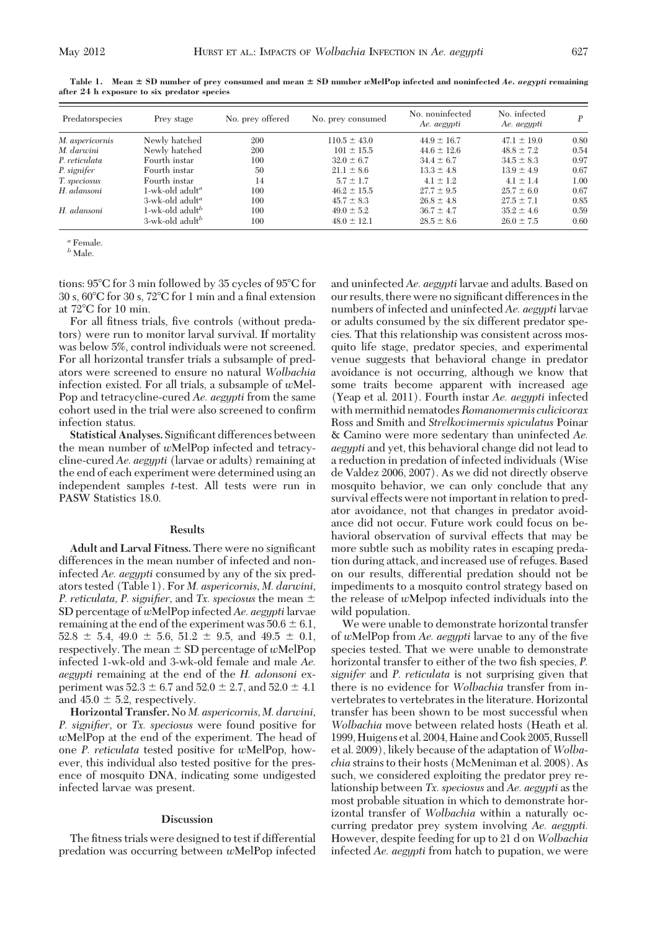**after 24 h exposure to six predator species**

| Table 1. Mean $\pm$ SD number of prev consumed and mean $\pm$ SD number wMelPop infected and noninfected Ae. aegypti remaining<br>er 24 h exposure to six predator species |  |  |  |
|----------------------------------------------------------------------------------------------------------------------------------------------------------------------------|--|--|--|
|                                                                                                                                                                            |  |  |  |
|                                                                                                                                                                            |  |  |  |

| Predatorspecies | Prey stage                     | No. prev offered | No. prev consumed | No. noninfected<br>Ae. aegypti | No. infected<br>Ae. aegypti |      |
|-----------------|--------------------------------|------------------|-------------------|--------------------------------|-----------------------------|------|
| M. aspericornis | Newly hatched                  | 200              | $110.5 \pm 43.0$  | $44.9 \pm 16.7$                | $47.1 \pm 19.0$             | 0.80 |
| M. darwini      | Newly hatched                  | 200              | $101 \pm 15.5$    | $44.6 \pm 12.6$                | $48.8 \pm 7.2$              | 0.54 |
| P. reticulata   | Fourth instar                  | 100              | $32.0 \pm 6.7$    | $34.4 \pm 6.7$                 | $34.5 \pm 8.3$              | 0.97 |
| P. signifer     | Fourth instar                  | 50               | $21.1 \pm 8.6$    | $13.3 \pm 4.8$                 | $13.9 \pm 4.9$              | 0.67 |
| T. speciosus    | Fourth instar                  | 14               | $5.7 \pm 1.7$     | $4.1 \pm 1.2$                  | $4.1 \pm 1.4$               | 1.00 |
| H. adansoni     | 1-wk-old adult <sup>a</sup>    | 100              | $46.2 \pm 15.5$   | $27.7 \pm 9.5$                 | $25.7 \pm 6.0$              | 0.67 |
|                 | $3$ -wk-old adult <sup>a</sup> | 100              | $45.7 \pm 8.3$    | $26.8 \pm 4.8$                 | $27.5 \pm 7.1$              | 0.85 |
| H. adansoni     | 1-wk-old adult <sup>b</sup>    | 100              | $49.0 \pm 5.2$    | $36.7 \pm 4.7$                 | $35.2 \pm 4.6$              | 0.59 |
|                 | $3$ -wk-old adult <sup>b</sup> | 100              | $48.0 \pm 12.1$   | $28.5 \pm 8.6$                 | $26.0 \pm 7.5$              | 0.60 |

*<sup>a</sup>* Female.

 *Male.* 

tions: 95°C for 3 min followed by 35 cycles of 95°C for  $30$  s,  $60^{\circ}\mathrm{C}$  for  $30$  s,  $72^{\circ}\mathrm{C}$  for  $1$  min and a final extension at 72°C for 10 min.

For all fitness trials, five controls (without predators) were run to monitor larval survival. If mortality was below 5%, control individuals were not screened. For all horizontal transfer trials a subsample of predators were screened to ensure no natural *Wolbachia* infection existed. For all trials, a subsample of *w*Mel-Pop and tetracycline-cured *Ae. aegypti* from the same cohort used in the trial were also screened to confirm infection status.

Statistical Analyses. Significant differences between the mean number of *w*MelPop infected and tetracycline-cured *Ae. aegypti* (larvae or adults) remaining at the end of each experiment were determined using an independent samples *t*-test. All tests were run in PASW Statistics 18.0.

### **Results**

Adult and Larval Fitness. There were no significant differences in the mean number of infected and noninfected *Ae. aegypti* consumed by any of the six predators tested (Table 1). For *M. aspericornis, M. darwini, P. reticulata, P. signifier,* and *Tx. speciosus* the mean SD percentage of *w*MelPop infected *Ae. aegypti* larvae remaining at the end of the experiment was  $50.6 \pm 6.1$ ,  $52.8 \pm 5.4$ ,  $49.0 \pm 5.6$ ,  $51.2 \pm 9.5$ , and  $49.5 \pm 0.1$ , respectively. The mean  $\pm$  SD percentage of *w*MelPop infected 1-wk-old and 3-wk-old female and male *Ae. aegypti* remaining at the end of the *H. adonsoni* experiment was  $52.3 \pm 6.7$  and  $52.0 \pm 2.7$ , and  $52.0 \pm 4.1$ and  $45.0 \pm 5.2$ , respectively.

**Horizontal Transfer.**No *M. aspericornis, M. darwini, P. signifier,* or *Tx. speciosus* were found positive for *w*MelPop at the end of the experiment. The head of one *P. reticulata* tested positive for *w*MelPop, however, this individual also tested positive for the presence of mosquito DNA, indicating some undigested infected larvae was present.

### **Discussion**

The fitness trials were designed to test if differential predation was occurring between *w*MelPop infected

and uninfected *Ae. aegypti* larvae and adults. Based on our results, there were no significant differences in the numbers of infected and uninfected *Ae. aegypti* larvae or adults consumed by the six different predator species. That this relationship was consistent across mosquito life stage, predator species, and experimental venue suggests that behavioral change in predator avoidance is not occurring, although we know that some traits become apparent with increased age (Yeap et al. 2011). Fourth instar *Ae. aegypti* infected with mermithid nematodes*Romanomermis culicivorax* Ross and Smith and *Strelkovimermis spiculatus* Poinar & Camino were more sedentary than uninfected *Ae. aegypti* and yet, this behavioral change did not lead to a reduction in predation of infected individuals (Wise de Valdez 2006, 2007). As we did not directly observe mosquito behavior, we can only conclude that any survival effects were not important in relation to predator avoidance, not that changes in predator avoidance did not occur. Future work could focus on behavioral observation of survival effects that may be more subtle such as mobility rates in escaping predation during attack, and increased use of refuges. Based on our results, differential predation should not be impediments to a mosquito control strategy based on the release of *w*Melpop infected individuals into the wild population.

We were unable to demonstrate horizontal transfer of *w*MelPop from *Ae. aegypti* larvae to any of the five species tested. That we were unable to demonstrate horizontal transfer to either of the two fish species, *P. signifer* and *P. reticulata* is not surprising given that there is no evidence for *Wolbachia* transfer from invertebrates to vertebrates in the literature. Horizontal transfer has been shown to be most successful when *Wolbachia* move between related hosts (Heath et al. 1999, Huigens et al. 2004, Haine and Cook 2005, Russell et al. 2009), likely because of the adaptation of *Wolbachia* strains to their hosts (McMeniman et al. 2008). As such, we considered exploiting the predator prey relationship between *Tx. speciosus* and *Ae. aegypti* as the most probable situation in which to demonstrate horizontal transfer of *Wolbachia* within a naturally occurring predator prey system involving *Ae. aegypti.* However, despite feeding for up to 21 d on *Wolbachia* infected *Ae. aegypti* from hatch to pupation, we were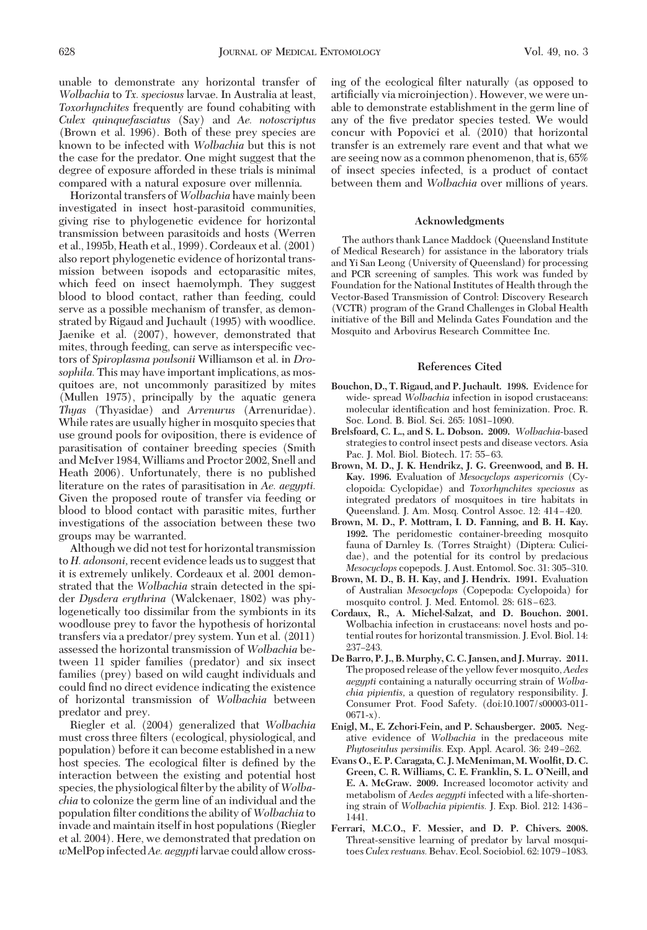unable to demonstrate any horizontal transfer of *Wolbachia* to *Tx. speciosus* larvae. In Australia at least, *Toxorhynchites* frequently are found cohabiting with *Culex quinquefasciatus* (Say) and *Ae. notoscriptus* (Brown et al. 1996). Both of these prey species are known to be infected with *Wolbachia* but this is not the case for the predator. One might suggest that the degree of exposure afforded in these trials is minimal compared with a natural exposure over millennia.

Horizontal transfers of*Wolbachia* have mainly been investigated in insect host-parasitoid communities, giving rise to phylogenetic evidence for horizontal transmission between parasitoids and hosts (Werren et al., 1995b, Heath et al., 1999). Cordeaux et al. (2001) also report phylogenetic evidence of horizontal transmission between isopods and ectoparasitic mites, which feed on insect haemolymph. They suggest blood to blood contact, rather than feeding, could serve as a possible mechanism of transfer, as demonstrated by Rigaud and Juchault (1995) with woodlice. Jaenike et al. (2007), however, demonstrated that mites, through feeding, can serve as interspecific vectors of *Spiroplasma poulsonii* Williamson et al. in *Drosophila.* This may have important implications, as mosquitoes are, not uncommonly parasitized by mites (Mullen 1975), principally by the aquatic genera *Thyas* (Thyasidae) and *Arrenurus* (Arrenuridae). While rates are usually higher in mosquito species that use ground pools for oviposition, there is evidence of parasitisation of container breeding species (Smith and McIver 1984,Williams and Proctor 2002, Snell and Heath 2006). Unfortunately, there is no published literature on the rates of parasitisation in *Ae. aegypti.* Given the proposed route of transfer via feeding or blood to blood contact with parasitic mites, further investigations of the association between these two groups may be warranted.

Although we did not test for horizontal transmission to *H. adonsoni,* recent evidence leads us to suggest that it is extremely unlikely. Cordeaux et al. 2001 demonstrated that the *Wolbachia* strain detected in the spider *Dysdera erythrina* (Walckenaer, 1802) was phylogenetically too dissimilar from the symbionts in its woodlouse prey to favor the hypothesis of horizontal transfers via a predator/prey system. Yun et al. (2011) assessed the horizontal transmission of *Wolbachia* between 11 spider families (predator) and six insect families (prey) based on wild caught individuals and could find no direct evidence indicating the existence of horizontal transmission of *Wolbachia* between predator and prey.

Riegler et al. (2004) generalized that *Wolbachia* must cross three filters (ecological, physiological, and population) before it can become established in a new host species. The ecological filter is defined by the interaction between the existing and potential host species, the physiological filter by the ability of *Wolbachia* to colonize the germ line of an individual and the population Þlter conditions the ability of *Wolbachia* to invade and maintain itself in host populations (Riegler et al. 2004). Here, we demonstrated that predation on *w*MelPopinfected*Ae. aegypti*larvae could allow cross-

ing of the ecological filter naturally (as opposed to artificially via microinjection). However, we were unable to demonstrate establishment in the germ line of any of the five predator species tested. We would concur with Popovici et al. (2010) that horizontal transfer is an extremely rare event and that what we are seeing now as a common phenomenon, that is, 65% of insect species infected, is a product of contact between them and *Wolbachia* over millions of years.

#### **Acknowledgments**

The authors thank Lance Maddock (Queensland Institute of Medical Research) for assistance in the laboratory trials and Yi San Leong (University of Queensland) for processing and PCR screening of samples. This work was funded by Foundation for the National Institutes of Health through the Vector-Based Transmission of Control: Discovery Research (VCTR) program of the Grand Challenges in Global Health initiative of the Bill and Melinda Gates Foundation and the Mosquito and Arbovirus Research Committee Inc.

## **References Cited**

- **Bouchon, D., T. Rigaud, and P. Juchault. 1998.** Evidence for wide- spread *Wolbachia* infection in isopod crustaceans: molecular identification and host feminization. Proc. R. Soc. Lond. B. Biol. Sci. 265: 1081-1090.
- **Brelsfoard, C. L., and S. L. Dobson. 2009.** *Wolbachia*-based strategies to control insect pests and disease vectors. Asia Pac. J. Mol. Biol. Biotech. 17: 55-63.
- **Brown, M. D., J. K. Hendrikz, J. G. Greenwood, and B. H. Kay. 1996.** Evaluation of *Mesocyclops aspericornis* (Cyclopoida: Cyclopidae) and *Toxorhynchites speciosus* as integrated predators of mosquitoes in tire habitats in Queensland. J. Am. Mosq. Control Assoc. 12: 414-420.
- **Brown, M. D., P. Mottram, I. D. Fanning, and B. H. Kay. 1992.** The peridomestic container-breeding mosquito fauna of Darnley Is. (Torres Straight) (Diptera: Culicidae), and the potential for its control by predacious *Mesocyclops* copepods. J. Aust. Entomol. Soc. 31: 305–310.
- **Brown, M. D., B. H. Kay, and J. Hendrix. 1991.** Evaluation of Australian *Mesocyclops* (Copepoda: Cyclopoida) for mosquito control. J. Med. Entomol. 28: 618-623.
- **Cordaux, R., A. Michel-Salzat, and D. Bouchon. 2001.** Wolbachia infection in crustaceans: novel hosts and potential routes for horizontal transmission. J. Evol. Biol. 14: 237-243.
- **De Barro, P. J., B. Murphy, C. C. Jansen, and J. Murray. 2011.** The proposed release of the yellow fever mosquito, *Aedes aegypti* containing a naturally occurring strain of *Wolbachia pipientis,* a question of regulatory responsibility. J. Consumer Prot. Food Safety. (doi:10.1007/s00003-011- 0671-x).
- **Enigl, M., E. Zchori-Fein, and P. Schausberger. 2005.** Negative evidence of *Wolbachia* in the predaceous mite Phytoseiulus persimilis. Exp. Appl. Acarol. 36: 249-262.
- **Evans O., E. P. Caragata, C. J. McMeniman, M.Woolfit, D. C. Green, C. R. Williams, C. E. Franklin, S. L. O'Neill, and E. A. McGraw. 2009.** Increased locomotor activity and metabolism of *Aedes aegypti* infected with a life-shortening strain of *Wolbachia pipientis*. J. Exp. Biol. 212: 1436 -1441.
- **Ferrari, M.C.O., F. Messier, and D. P. Chivers. 2008.** Threat-sensitive learning of predator by larval mosquitoes Culex restuans. Behav. Ecol. Sociobiol. 62: 1079-1083.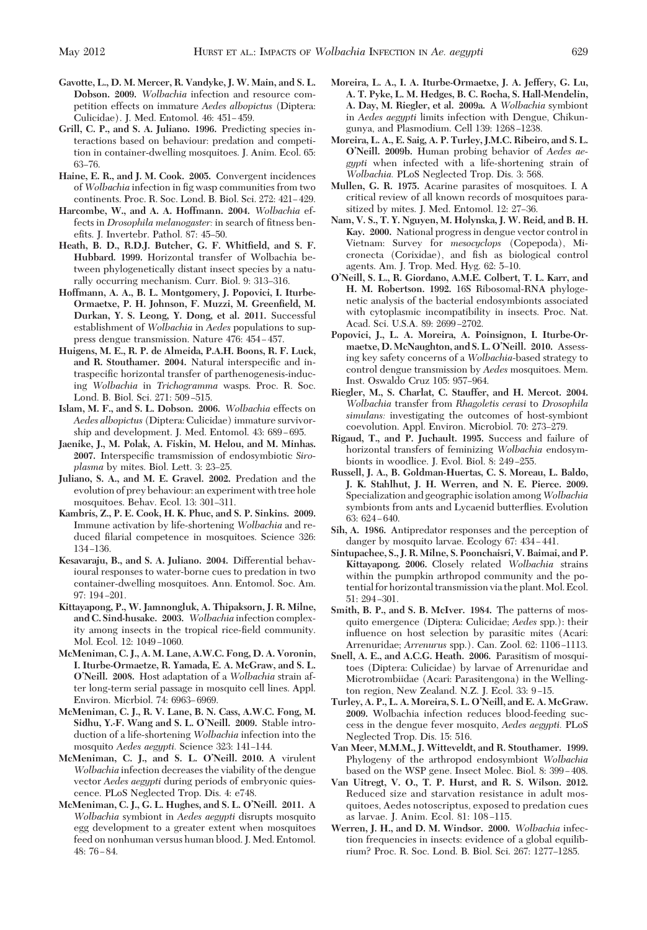- **Gavotte, L., D. M. Mercer, R. Vandyke, J. W. Main, and S. L. Dobson. 2009.** *Wolbachia* infection and resource competition effects on immature *Aedes albopictus* (Diptera: Culicidae). J. Med. Entomol. 46: 451-459.
- **Grill, C. P., and S. A. Juliano. 1996.** Predicting species interactions based on behaviour: predation and competition in container-dwelling mosquitoes. J. Anim. Ecol. 65: 63–76.
- **Haine, E. R., and J. M. Cook. 2005.** Convergent incidences of *Wolbachia* infection in fig wasp communities from two continents. Proc. R. Soc. Lond. B. Biol. Sci. 272: 421-429.
- **Harcombe, W., and A. A. Hoffmann. 2004.** *Wolbachia* effects in *Drosophila melanogaster:* in search of fitness benefits. J. Invertebr. Pathol. 87: 45–50.
- **Heath, B. D., R.D.J. Butcher, G. F. Whitfield, and S. F. Hubbard. 1999.** Horizontal transfer of Wolbachia between phylogenetically distant insect species by a naturally occurring mechanism. Curr. Biol. 9: 313-316.
- **Hoffmann, A. A., B. L. Montgomery, J. Popovici, I. Iturbe-Ormaetxe, P. H. Johnson, F. Muzzi, M. Greenfield, M. Durkan, Y. S. Leong, Y. Dong, et al. 2011.** Successful establishment of *Wolbachia* in *Aedes* populations to suppress dengue transmission. Nature 476: 454-457.
- **Huigens, M. E., R. P. de Almeida, P.A.H. Boons, R. F. Luck,** and R. Stouthamer. 2004. Natural interspecific and intraspecific horizontal transfer of parthenogenesis-inducing *Wolbachia* in *Trichogramma* wasps. Proc. R. Soc. Lond. B. Biol. Sci. 271: 509-515.
- **Islam, M. F., and S. L. Dobson. 2006.** *Wolbachia* effects on *Aedes albopictus* (Diptera: Culicidae) immature survivorship and development. J. Med. Entomol. 43: 689-695.
- **Jaenike, J., M. Polak, A. Fiskin, M. Helou, and M. Minhas.** 2007. Interspecific tramsmission of endosymbiotic *Siroplasma* by mites. Biol. Lett. 3: 23-25.
- **Juliano, S. A., and M. E. Gravel. 2002.** Predation and the evolution of prey behaviour: an experiment with tree hole mosquitoes. Behav. Ecol. 13: 301-311.
- **Kambris, Z., P. E. Cook, H. K. Phuc, and S. P. Sinkins. 2009.** Immune activation by life-shortening *Wolbachia* and reduced filarial competence in mosquitoes. Science 326: 134-136
- **Kesavaraju, B., and S. A. Juliano. 2004.** Differential behavioural responses to water-borne cues to predation in two container-dwelling mosquitoes. Ann. Entomol. Soc. Am. 97: 194-201.
- **Kittayapong, P., W. Jamnongluk, A. Thipaksorn, J. R. Milne, and C. Sind-husake. 2003.** *Wolbachia* infection complexity among insects in the tropical rice-field community. Mol. Ecol. 12: 1049-1060.
- **McMeniman, C. J., A. M. Lane, A.W.C. Fong, D. A. Voronin, I. Iturbe-Ormaetze, R. Yamada, E. A. McGraw, and S. L. O'Neill. 2008.** Host adaptation of a *Wolbachia* strain after long-term serial passage in mosquito cell lines. Appl. Environ. Micrbiol. 74: 6963-6969.
- **McMeniman, C. J., R. V. Lane, B. N. Cass, A.W.C. Fong, M. Sidhu, Y.-F. Wang and S. L. O'Neill. 2009.** Stable introduction of a life-shortening *Wolbachia* infection into the mosquito *Aedes aegypti*. Science 323: 141-144.
- **McMeniman, C. J., and S. L. O'Neill. 2010.** A virulent *Wolbachia* infection decreases the viability of the dengue vector *Aedes aegypti* during periods of embryonic quiescence. PLoS Neglected Trop. Dis. 4: e748.
- **McMeniman, C. J., G. L. Hughes, and S. L. O'Neill. 2011.** A *Wolbachia* symbiont in *Aedes aegypti* disrupts mosquito egg development to a greater extent when mosquitoes feed on nonhuman versus human blood. J. Med. Entomol. 48: 76 Ð 84.
- **Moreira, L. A., I. A. Iturbe-Ormaetxe, J. A. Jeffery, G. Lu, A. T. Pyke, L. M. Hedges, B. C. Rocha, S. Hall-Mendelin, A. Day, M. Riegler, et al. 2009a.** A *Wolbachia* symbiont in *Aedes aegypti* limits infection with Dengue, Chikungunya, and Plasmodium. Cell 139: 1268-1238.
- **Moreira, L. A., E. Saig, A. P. Turley, J.M.C. Ribeiro, and S. L. O'Neill. 2009b.** Human probing behavior of *Aedes aegypti* when infected with a life-shortening strain of *Wolbachia.* PLoS Neglected Trop. Dis. 3: 568.
- **Mullen, G. R. 1975.** Acarine parasites of mosquitoes. I. A critical review of all known records of mosquitoes parasitized by mites. J. Med. Entomol. 12: 27-36.
- **Nam, V. S., T. Y. Nguyen, M. Holynska, J. W. Reid, and B. H. Kay. 2000.** National progress in dengue vector control in Vietnam: Survey for *mesocyclops* (Copepoda), Micronecta (Corixidae), and fish as biological control agents. Am. J. Trop. Med. Hyg. 62: 5-10.
- **O'Neill, S. L., R. Giordano, A.M.E. Colbert, T. L. Karr, and H. M. Robertson. 1992.** 16S Ribosomal-RNA phylogenetic analysis of the bacterial endosymbionts associated with cytoplasmic incompatibility in insects. Proc. Nat. Acad. Sci. U.S.A. 89: 2699-2702.
- **Popovici, J., L. A. Moreira, A. Poinsignon, I. Iturbe-Ormaetxe, D. McNaughton, and S. L. O'Neill. 2010.** Assessing key safety concerns of a *Wolbachia-*based strategy to control dengue transmission by *Aedes* mosquitoes. Mem. Inst. Oswaldo Cruz 105: 957-964.
- **Riegler, M., S. Charlat, C. Stauffer, and H. Mercot. 2004.** *Wolbachia* transfer from *Rhagoletis cerasi* to *Drosophila simulans:* investigating the outcomes of host-symbiont coevolution. Appl. Environ. Microbiol. 70: 273–279.
- **Rigaud, T., and P. Juchault. 1995.** Success and failure of horizontal transfers of feminizing *Wolbachia* endosymbionts in woodlice. J. Evol. Biol. 8: 249-255.
- **Russell, J. A., B. Goldman-Huertas, C. S. Moreau, L. Baldo, J. K. Stahlhut, J. H. Werren, and N. E. Pierce. 2009.** Specialization and geographic isolation among*Wolbachia* symbionts from ants and Lycaenid butterßies. Evolution  $63.624 - 640$
- **Sih, A. 1986.** Antipredator responses and the perception of danger by mosquito larvae. Ecology 67: 434-441.
- **Sintupachee, S., J. R. Milne, S. Poonchaisri, V. Baimai, and P. Kittayapong. 2006.** Closely related *Wolbachia* strains within the pumpkin arthropod community and the potential for horizontal transmission via the plant. Mol. Ecol.  $51: 294 - 301.$
- **Smith, B. P., and S. B. McIver. 1984.** The patterns of mosquito emergence (Diptera: Culicidae; *Aedes* spp.): their inßuence on host selection by parasitic mites (Acari: Arrenuridae; *Arrenurus* spp.). Can. Zool. 62: 1106-1113.
- **Snell, A. E., and A.C.G. Heath. 2006.** Parasitism of mosquitoes (Diptera: Culicidae) by larvae of Arrenuridae and Microtrombiidae (Acari: Parasitengona) in the Wellington region, New Zealand. N.Z. J. Ecol. 33: 9-15.
- **Turley, A. P., L. A. Moreira, S. L. O'Neill, and E. A. McGraw. 2009.** Wolbachia infection reduces blood-feeding success in the dengue fever mosquito, *Aedes aegypti.* PLoS Neglected Trop. Dis. 15: 516.
- **Van Meer, M.M.M., J. Witteveldt, and R. Stouthamer. 1999.** Phylogeny of the arthropod endosymbiont *Wolbachia* based on the WSP gene. Insect Molec. Biol. 8: 399-408.
- **Van Uitregt, V. O., T. P. Hurst, and R. S. Wilson. 2012.** Reduced size and starvation resistance in adult mosquitoes, Aedes notoscriptus, exposed to predation cues as larvae. J. Anim. Ecol. 81: 108-115.
- **Werren, J. H., and D. M. Windsor. 2000.** *Wolbachia* infection frequencies in insects: evidence of a global equilibrium? Proc. R. Soc. Lond. B. Biol. Sci. 267: 1277-1285.